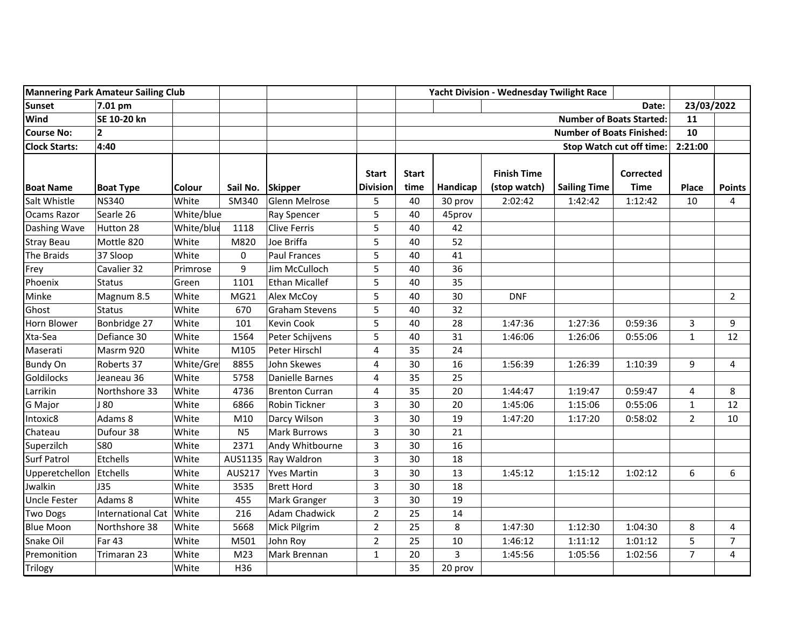| <b>Mannering Park Amateur Sailing Club</b> |                          |               |                | Yacht Division - Wednesday Twilight Race |                                  |              |          |                    |                     |                  |                |                |
|--------------------------------------------|--------------------------|---------------|----------------|------------------------------------------|----------------------------------|--------------|----------|--------------------|---------------------|------------------|----------------|----------------|
| <b>Sunset</b>                              | 7.01 pm                  |               |                |                                          |                                  |              |          |                    |                     | Date:            | 23/03/2022     |                |
| Wind                                       | SE 10-20 kn              |               |                |                                          | <b>Number of Boats Started:</b>  |              |          |                    |                     | 11               |                |                |
| <b>Course No:</b>                          | $\mathbf{2}$             |               |                |                                          | <b>Number of Boats Finished:</b> |              |          |                    |                     | 10               |                |                |
| <b>Clock Starts:</b>                       | 4:40                     |               |                |                                          | Stop Watch cut off time:         |              |          |                    |                     | 2:21:00          |                |                |
|                                            |                          |               |                |                                          | <b>Start</b>                     | <b>Start</b> |          | <b>Finish Time</b> |                     | <b>Corrected</b> |                |                |
| <b>Boat Name</b>                           | <b>Boat Type</b>         | <b>Colour</b> | Sail No.       | <b>Skipper</b>                           | <b>Division</b>                  | time         | Handicap | (stop watch)       | <b>Sailing Time</b> | <b>Time</b>      | Place          | <b>Points</b>  |
| Salt Whistle                               | <b>NS340</b>             | White         | SM340          | Glenn Melrose                            | 5                                | 40           | 30 prov  | 2:02:42            | 1:42:42             | 1:12:42          | 10             | $\overline{4}$ |
| <b>Ocams Razor</b>                         | Searle 26                | White/blue    |                | Ray Spencer                              | 5                                | 40           | 45prov   |                    |                     |                  |                |                |
| Dashing Wave                               | Hutton 28                | White/blue    | 1118           | Clive Ferris                             | 5                                | 40           | 42       |                    |                     |                  |                |                |
| <b>Stray Beau</b>                          | Mottle 820               | White         | M820           | Joe Briffa                               | 5                                | 40           | 52       |                    |                     |                  |                |                |
| The Braids                                 | 37 Sloop                 | White         | 0              | <b>Paul Frances</b>                      | 5                                | 40           | 41       |                    |                     |                  |                |                |
| Frey                                       | Cavalier 32              | Primrose      | 9              | Jim McCulloch                            | 5                                | 40           | 36       |                    |                     |                  |                |                |
| Phoenix                                    | <b>Status</b>            | Green         | 1101           | Ethan Micallef                           | 5                                | 40           | 35       |                    |                     |                  |                |                |
| Minke                                      | Magnum 8.5               | White         | MG21           | Alex McCoy                               | 5                                | 40           | 30       | <b>DNF</b>         |                     |                  |                | $\overline{2}$ |
| Ghost                                      | <b>Status</b>            | White         | 670            | <b>Graham Stevens</b>                    | 5                                | 40           | 32       |                    |                     |                  |                |                |
| Horn Blower                                | Bonbridge 27             | White         | 101            | <b>Kevin Cook</b>                        | 5                                | 40           | 28       | 1:47:36            | 1:27:36             | 0:59:36          | 3              | 9              |
| Xta-Sea                                    | Defiance 30              | White         | 1564           | Peter Schijvens                          | 5                                | 40           | 31       | 1:46:06            | 1:26:06             | 0:55:06          | $\mathbf{1}$   | 12             |
| Maserati                                   | Masrm 920                | White         | M105           | Peter Hirschl                            | $\overline{\mathbf{4}}$          | 35           | 24       |                    |                     |                  |                |                |
| <b>Bundy On</b>                            | Roberts 37               | White/Gre     | 8855           | John Skewes                              | 4                                | 30           | 16       | 1:56:39            | 1:26:39             | 1:10:39          | 9              | $\overline{4}$ |
| Goldilocks                                 | Jeaneau 36               | White         | 5758           | Danielle Barnes                          | 4                                | 35           | 25       |                    |                     |                  |                |                |
| Larrikin                                   | Northshore 33            | White         | 4736           | Brenton Curran                           | $\overline{\mathbf{4}}$          | 35           | 20       | 1:44:47            | 1:19:47             | 0:59:47          | 4              | 8              |
| G Major                                    | J 80                     | White         | 6866           | Robin Tickner                            | $\overline{3}$                   | 30           | 20       | 1:45:06            | 1:15:06             | 0:55:06          | $\mathbf{1}$   | 12             |
| Intoxic8                                   | Adams 8                  | White         | M10            | Darcy Wilson                             | 3                                | 30           | 19       | 1:47:20            | 1:17:20             | 0:58:02          | $\overline{2}$ | 10             |
| Chateau                                    | Dufour 38                | White         | N <sub>5</sub> | <b>Mark Burrows</b>                      | 3                                | 30           | 21       |                    |                     |                  |                |                |
| Superzilch                                 | <b>S80</b>               | White         | 2371           | Andy Whitbourne                          | 3                                | 30           | 16       |                    |                     |                  |                |                |
| <b>Surf Patrol</b>                         | Etchells                 | White         |                | AUS1135 Ray Waldron                      | 3                                | 30           | 18       |                    |                     |                  |                |                |
| Upperetchellon                             | Etchells                 | White         | AUS217         | <b>Yves Martin</b>                       | $\overline{3}$                   | 30           | 13       | 1:45:12            | 1:15:12             | 1:02:12          | 6              | 6              |
| Jwalkin                                    | J35                      | White         | 3535           | <b>Brett Hord</b>                        | $\mathsf{3}$                     | 30           | 18       |                    |                     |                  |                |                |
| <b>Uncle Fester</b>                        | Adams 8                  | White         | 455            | Mark Granger                             | 3                                | 30           | 19       |                    |                     |                  |                |                |
| <b>Two Dogs</b>                            | <b>International Cat</b> | White         | 216            | <b>Adam Chadwick</b>                     | $\overline{2}$                   | 25           | 14       |                    |                     |                  |                |                |
| <b>Blue Moon</b>                           | Northshore 38            | White         | 5668           | Mick Pilgrim                             | $\overline{2}$                   | 25           | 8        | 1:47:30            | 1:12:30             | 1:04:30          | 8              | 4              |
| Snake Oil                                  | Far 43                   | White         | M501           | John Roy                                 | $\overline{2}$                   | 25           | 10       | 1:46:12            | 1:11:12             | 1:01:12          | 5              | $\overline{7}$ |
| Premonition                                | Trimaran 23              | White         | M23            | Mark Brennan                             | $\mathbf 1$                      | 20           | 3        | 1:45:56            | 1:05:56             | 1:02:56          | $\overline{7}$ | 4              |
| Trilogy                                    |                          | White         | H36            |                                          |                                  | 35           | 20 prov  |                    |                     |                  |                |                |